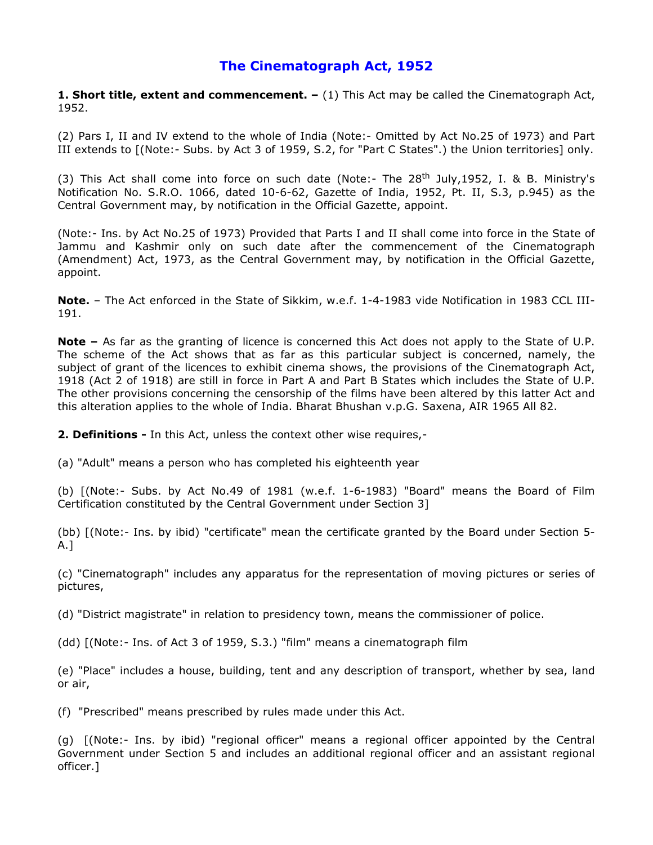# **The Cinematograph Act, 1952**

**1. Short title, extent and commencement. –** (1) This Act may be called the Cinematograph Act, 1952.

(2) Pars I, II and IV extend to the whole of India (Note:- Omitted by Act No.25 of 1973) and Part III extends to [(Note:- Subs. by Act 3 of 1959, S.2, for "Part C States".) the Union territories] only.

(3) This Act shall come into force on such date (Note:- The  $28<sup>th</sup>$  July, 1952, I. & B. Ministry's Notification No. S.R.O. 1066, dated 10-6-62, Gazette of India, 1952, Pt. II, S.3, p.945) as the Central Government may, by notification in the Official Gazette, appoint.

(Note:- Ins. by Act No.25 of 1973) Provided that Parts I and II shall come into force in the State of Jammu and Kashmir only on such date after the commencement of the Cinematograph (Amendment) Act, 1973, as the Central Government may, by notification in the Official Gazette, appoint.

**Note.** – The Act enforced in the State of Sikkim, w.e.f. 1-4-1983 vide Notification in 1983 CCL III-191.

**Note –** As far as the granting of licence is concerned this Act does not apply to the State of U.P. The scheme of the Act shows that as far as this particular subject is concerned, namely, the subject of grant of the licences to exhibit cinema shows, the provisions of the Cinematograph Act, 1918 (Act 2 of 1918) are still in force in Part A and Part B States which includes the State of U.P. The other provisions concerning the censorship of the films have been altered by this latter Act and this alteration applies to the whole of India. Bharat Bhushan v.p.G. Saxena, AIR 1965 All 82.

**2. Definitions -** In this Act, unless the context other wise requires,-

(a) "Adult" means a person who has completed his eighteenth year

(b) [(Note:- Subs. by Act No.49 of 1981 (w.e.f. 1-6-1983) "Board" means the Board of Film Certification constituted by the Central Government under Section 3]

(bb) [(Note:- Ins. by ibid) "certificate" mean the certificate granted by the Board under Section 5- A.]

(c) "Cinematograph" includes any apparatus for the representation of moving pictures or series of pictures,

(d) "District magistrate" in relation to presidency town, means the commissioner of police.

(dd) [(Note:- Ins. of Act 3 of 1959, S.3.) "film" means a cinematograph film

(e) "Place" includes a house, building, tent and any description of transport, whether by sea, land or air,

(f) "Prescribed" means prescribed by rules made under this Act.

(g) [(Note:- Ins. by ibid) "regional officer" means a regional officer appointed by the Central Government under Section 5 and includes an additional regional officer and an assistant regional officer.]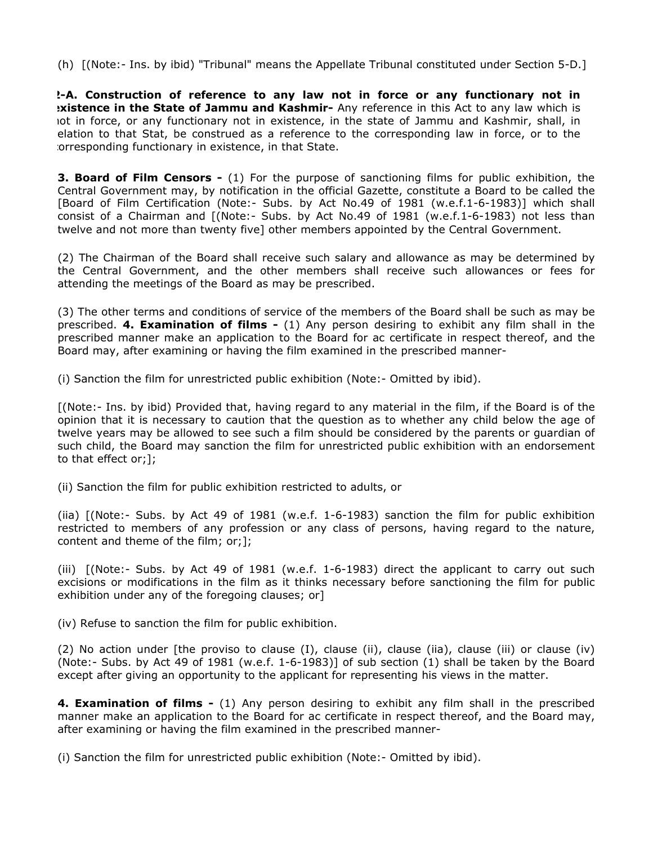(h) [(Note:- Ins. by ibid) "Tribunal" means the Appellate Tribunal constituted under Section 5-D.]

**2-A. Construction of reference to any law not in force or any functionary not in existence in the State of Jammu and Kashmir-** Any reference in this Act to any law which is not in force, or any functionary not in existence, in the state of Jammu and Kashmir, shall, in relation to that Stat, be construed as a reference to the corresponding law in force, or to the corresponding functionary in existence, in that State.

**3. Board of Film Censors -** (1) For the purpose of sanctioning films for public exhibition, the Central Government may, by notification in the official Gazette, constitute a Board to be called the [Board of Film Certification (Note:- Subs. by Act No.49 of 1981 (w.e.f.1-6-1983)] which shall consist of a Chairman and [(Note:- Subs. by Act No.49 of 1981 (w.e.f.1-6-1983) not less than twelve and not more than twenty five] other members appointed by the Central Government.

(2) The Chairman of the Board shall receive such salary and allowance as may be determined by the Central Government, and the other members shall receive such allowances or fees for attending the meetings of the Board as may be prescribed.

(3) The other terms and conditions of service of the members of the Board shall be such as may be prescribed. **4. Examination of films -** (1) Any person desiring to exhibit any film shall in the prescribed manner make an application to the Board for ac certificate in respect thereof, and the Board may, after examining or having the film examined in the prescribed manner-

(i) Sanction the film for unrestricted public exhibition (Note:- Omitted by ibid).

[(Note:- Ins. by ibid) Provided that, having regard to any material in the film, if the Board is of the opinion that it is necessary to caution that the question as to whether any child below the age of twelve years may be allowed to see such a film should be considered by the parents or guardian of such child, the Board may sanction the film for unrestricted public exhibition with an endorsement to that effect or;];

(ii) Sanction the film for public exhibition restricted to adults, or

(iia) [(Note:- Subs. by Act 49 of 1981 (w.e.f. 1-6-1983) sanction the film for public exhibition restricted to members of any profession or any class of persons, having regard to the nature, content and theme of the film; or;];

(iii) [(Note:- Subs. by Act 49 of 1981 (w.e.f. 1-6-1983) direct the applicant to carry out such excisions or modifications in the film as it thinks necessary before sanctioning the film for public exhibition under any of the foregoing clauses; or

(iv) Refuse to sanction the film for public exhibition.

(2) No action under [the proviso to clause (I), clause (ii), clause (iia), clause (iii) or clause (iv) (Note:- Subs. by Act 49 of 1981 (w.e.f. 1-6-1983)] of sub section (1) shall be taken by the Board except after giving an opportunity to the applicant for representing his views in the matter.

**4. Examination of films -** (1) Any person desiring to exhibit any film shall in the prescribed manner make an application to the Board for ac certificate in respect thereof, and the Board may, after examining or having the film examined in the prescribed manner-

(i) Sanction the film for unrestricted public exhibition (Note:- Omitted by ibid).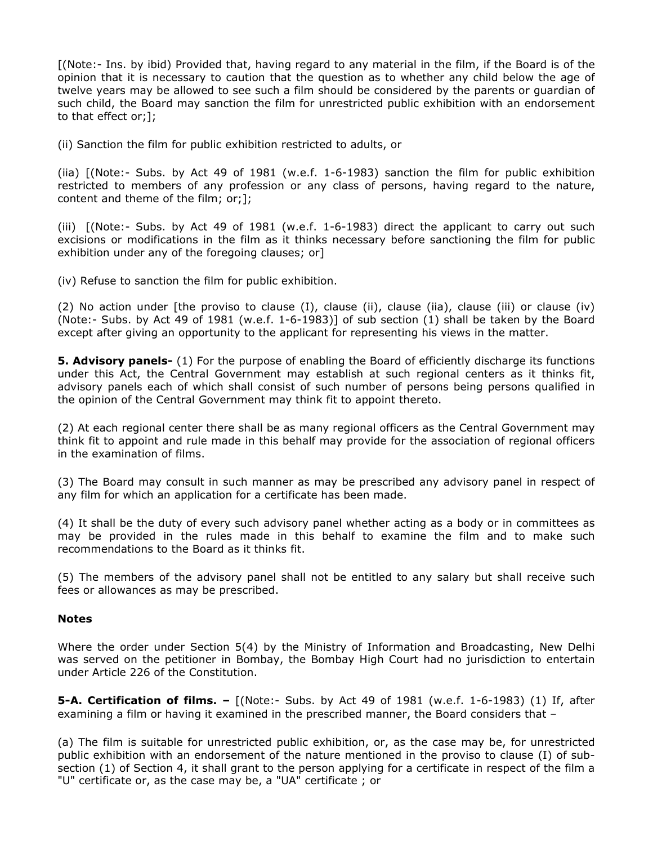[(Note:- Ins. by ibid) Provided that, having regard to any material in the film, if the Board is of the opinion that it is necessary to caution that the question as to whether any child below the age of twelve years may be allowed to see such a film should be considered by the parents or guardian of such child, the Board may sanction the film for unrestricted public exhibition with an endorsement to that effect or;];

(ii) Sanction the film for public exhibition restricted to adults, or

(iia) [(Note:- Subs. by Act 49 of 1981 (w.e.f. 1-6-1983) sanction the film for public exhibition restricted to members of any profession or any class of persons, having regard to the nature, content and theme of the film; or;];

(iii) [(Note:- Subs. by Act 49 of 1981 (w.e.f. 1-6-1983) direct the applicant to carry out such excisions or modifications in the film as it thinks necessary before sanctioning the film for public exhibition under any of the foregoing clauses; or]

(iv) Refuse to sanction the film for public exhibition.

(2) No action under [the proviso to clause (I), clause (ii), clause (iia), clause (iii) or clause (iv) (Note:- Subs. by Act 49 of 1981 (w.e.f. 1-6-1983)] of sub section (1) shall be taken by the Board except after giving an opportunity to the applicant for representing his views in the matter.

**5. Advisory panels-** (1) For the purpose of enabling the Board of efficiently discharge its functions under this Act, the Central Government may establish at such regional centers as it thinks fit, advisory panels each of which shall consist of such number of persons being persons qualified in the opinion of the Central Government may think fit to appoint thereto.

(2) At each regional center there shall be as many regional officers as the Central Government may think fit to appoint and rule made in this behalf may provide for the association of regional officers in the examination of films.

(3) The Board may consult in such manner as may be prescribed any advisory panel in respect of any film for which an application for a certificate has been made.

(4) It shall be the duty of every such advisory panel whether acting as a body or in committees as may be provided in the rules made in this behalf to examine the film and to make such recommendations to the Board as it thinks fit.

(5) The members of the advisory panel shall not be entitled to any salary but shall receive such fees or allowances as may be prescribed.

## **Notes**

Where the order under Section 5(4) by the Ministry of Information and Broadcasting, New Delhi was served on the petitioner in Bombay, the Bombay High Court had no jurisdiction to entertain under Article 226 of the Constitution.

**5-A. Certification of films. –** [(Note:- Subs. by Act 49 of 1981 (w.e.f. 1-6-1983) (1) If, after examining a film or having it examined in the prescribed manner, the Board considers that –

(a) The film is suitable for unrestricted public exhibition, or, as the case may be, for unrestricted public exhibition with an endorsement of the nature mentioned in the proviso to clause (I) of subsection (1) of Section 4, it shall grant to the person applying for a certificate in respect of the film a "U" certificate or, as the case may be, a "UA" certificate ; or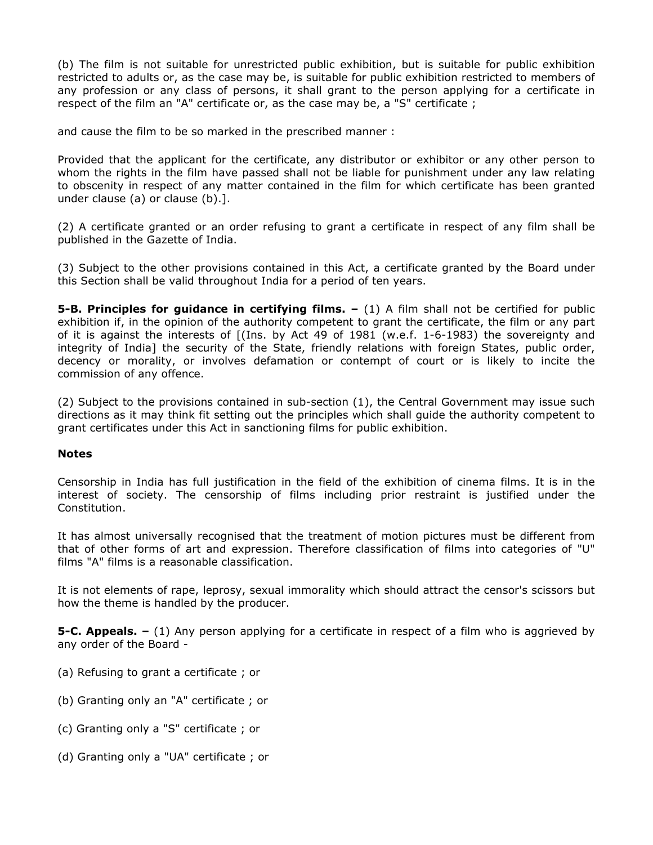(b) The film is not suitable for unrestricted public exhibition, but is suitable for public exhibition restricted to adults or, as the case may be, is suitable for public exhibition restricted to members of any profession or any class of persons, it shall grant to the person applying for a certificate in respect of the film an "A" certificate or, as the case may be, a "S" certificate ;

and cause the film to be so marked in the prescribed manner :

Provided that the applicant for the certificate, any distributor or exhibitor or any other person to whom the rights in the film have passed shall not be liable for punishment under any law relating to obscenity in respect of any matter contained in the film for which certificate has been granted under clause (a) or clause (b).].

(2) A certificate granted or an order refusing to grant a certificate in respect of any film shall be published in the Gazette of India.

(3) Subject to the other provisions contained in this Act, a certificate granted by the Board under this Section shall be valid throughout India for a period of ten years.

**5-B. Principles for guidance in certifying films. –** (1) A film shall not be certified for public exhibition if, in the opinion of the authority competent to grant the certificate, the film or any part of it is against the interests of [(Ins. by Act 49 of 1981 (w.e.f. 1-6-1983) the sovereignty and integrity of India] the security of the State, friendly relations with foreign States, public order, decency or morality, or involves defamation or contempt of court or is likely to incite the commission of any offence.

(2) Subject to the provisions contained in sub-section (1), the Central Government may issue such directions as it may think fit setting out the principles which shall guide the authority competent to grant certificates under this Act in sanctioning films for public exhibition.

## **Notes**

Censorship in India has full justification in the field of the exhibition of cinema films. It is in the interest of society. The censorship of films including prior restraint is justified under the Constitution.

It has almost universally recognised that the treatment of motion pictures must be different from that of other forms of art and expression. Therefore classification of films into categories of "U" films "A" films is a reasonable classification.

It is not elements of rape, leprosy, sexual immorality which should attract the censor's scissors but how the theme is handled by the producer.

**5-C. Appeals.** – (1) Any person applying for a certificate in respect of a film who is aggrieved by any order of the Board -

- (a) Refusing to grant a certificate ; or
- (b) Granting only an "A" certificate ; or
- (c) Granting only a "S" certificate ; or
- (d) Granting only a "UA" certificate ; or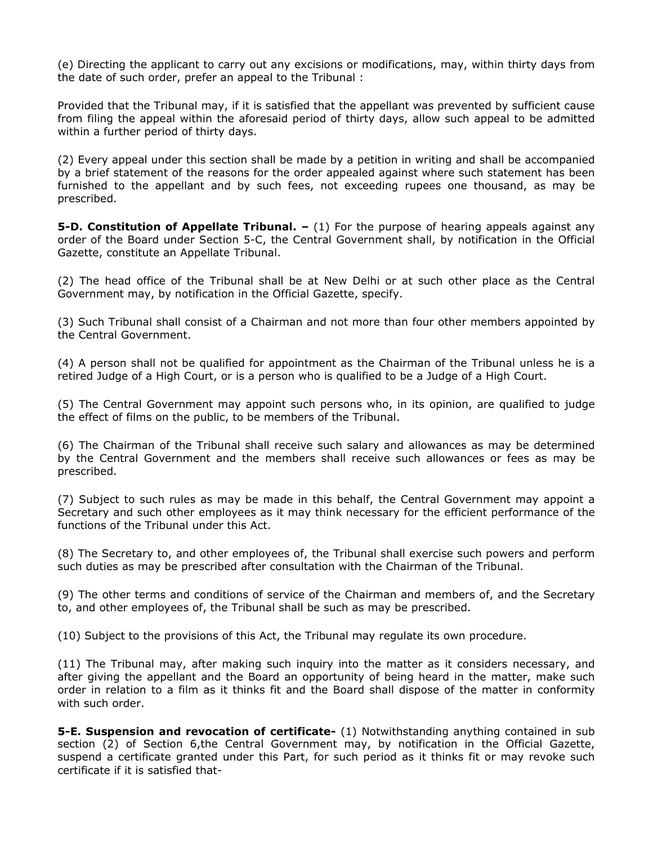(e) Directing the applicant to carry out any excisions or modifications, may, within thirty days from the date of such order, prefer an appeal to the Tribunal :

Provided that the Tribunal may, if it is satisfied that the appellant was prevented by sufficient cause from filing the appeal within the aforesaid period of thirty days, allow such appeal to be admitted within a further period of thirty days.

(2) Every appeal under this section shall be made by a petition in writing and shall be accompanied by a brief statement of the reasons for the order appealed against where such statement has been furnished to the appellant and by such fees, not exceeding rupees one thousand, as may be prescribed.

**5-D. Constitution of Appellate Tribunal.** – (1) For the purpose of hearing appeals against any order of the Board under Section 5-C, the Central Government shall, by notification in the Official Gazette, constitute an Appellate Tribunal.

(2) The head office of the Tribunal shall be at New Delhi or at such other place as the Central Government may, by notification in the Official Gazette, specify.

(3) Such Tribunal shall consist of a Chairman and not more than four other members appointed by the Central Government.

(4) A person shall not be qualified for appointment as the Chairman of the Tribunal unless he is a retired Judge of a High Court, or is a person who is qualified to be a Judge of a High Court.

(5) The Central Government may appoint such persons who, in its opinion, are qualified to judge the effect of films on the public, to be members of the Tribunal.

(6) The Chairman of the Tribunal shall receive such salary and allowances as may be determined by the Central Government and the members shall receive such allowances or fees as may be prescribed.

(7) Subject to such rules as may be made in this behalf, the Central Government may appoint a Secretary and such other employees as it may think necessary for the efficient performance of the functions of the Tribunal under this Act.

(8) The Secretary to, and other employees of, the Tribunal shall exercise such powers and perform such duties as may be prescribed after consultation with the Chairman of the Tribunal.

(9) The other terms and conditions of service of the Chairman and members of, and the Secretary to, and other employees of, the Tribunal shall be such as may be prescribed.

(10) Subject to the provisions of this Act, the Tribunal may regulate its own procedure.

(11) The Tribunal may, after making such inquiry into the matter as it considers necessary, and after giving the appellant and the Board an opportunity of being heard in the matter, make such order in relation to a film as it thinks fit and the Board shall dispose of the matter in conformity with such order.

**5-E. Suspension and revocation of certificate-** (1) Notwithstanding anything contained in sub section (2) of Section 6,the Central Government may, by notification in the Official Gazette, suspend a certificate granted under this Part, for such period as it thinks fit or may revoke such certificate if it is satisfied that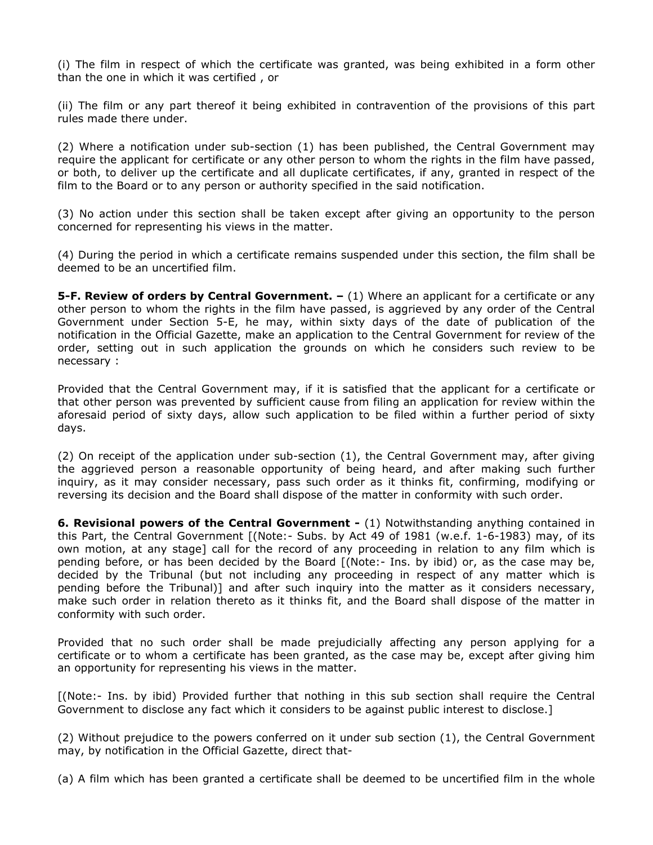(i) The film in respect of which the certificate was granted, was being exhibited in a form other than the one in which it was certified , or

(ii) The film or any part thereof it being exhibited in contravention of the provisions of this part rules made there under.

(2) Where a notification under sub-section (1) has been published, the Central Government may require the applicant for certificate or any other person to whom the rights in the film have passed, or both, to deliver up the certificate and all duplicate certificates, if any, granted in respect of the film to the Board or to any person or authority specified in the said notification.

(3) No action under this section shall be taken except after giving an opportunity to the person concerned for representing his views in the matter.

(4) During the period in which a certificate remains suspended under this section, the film shall be deemed to be an uncertified film.

**5-F. Review of orders by Central Government.**  $- (1)$  Where an applicant for a certificate or any other person to whom the rights in the film have passed, is aggrieved by any order of the Central Government under Section 5-E, he may, within sixty days of the date of publication of the notification in the Official Gazette, make an application to the Central Government for review of the order, setting out in such application the grounds on which he considers such review to be necessary :

Provided that the Central Government may, if it is satisfied that the applicant for a certificate or that other person was prevented by sufficient cause from filing an application for review within the aforesaid period of sixty days, allow such application to be filed within a further period of sixty days.

(2) On receipt of the application under sub-section (1), the Central Government may, after giving the aggrieved person a reasonable opportunity of being heard, and after making such further inquiry, as it may consider necessary, pass such order as it thinks fit, confirming, modifying or reversing its decision and the Board shall dispose of the matter in conformity with such order.

**6. Revisional powers of the Central Government -** (1) Notwithstanding anything contained in this Part, the Central Government [(Note:- Subs. by Act 49 of 1981 (w.e.f. 1-6-1983) may, of its own motion, at any stage] call for the record of any proceeding in relation to any film which is pending before, or has been decided by the Board [(Note:- Ins. by ibid) or, as the case may be, decided by the Tribunal (but not including any proceeding in respect of any matter which is pending before the Tribunal)] and after such inquiry into the matter as it considers necessary, make such order in relation thereto as it thinks fit, and the Board shall dispose of the matter in conformity with such order.

Provided that no such order shall be made prejudicially affecting any person applying for a certificate or to whom a certificate has been granted, as the case may be, except after giving him an opportunity for representing his views in the matter.

[(Note:- Ins. by ibid) Provided further that nothing in this sub section shall require the Central Government to disclose any fact which it considers to be against public interest to disclose.]

(2) Without prejudice to the powers conferred on it under sub section (1), the Central Government may, by notification in the Official Gazette, direct that-

(a) A film which has been granted a certificate shall be deemed to be uncertified film in the whole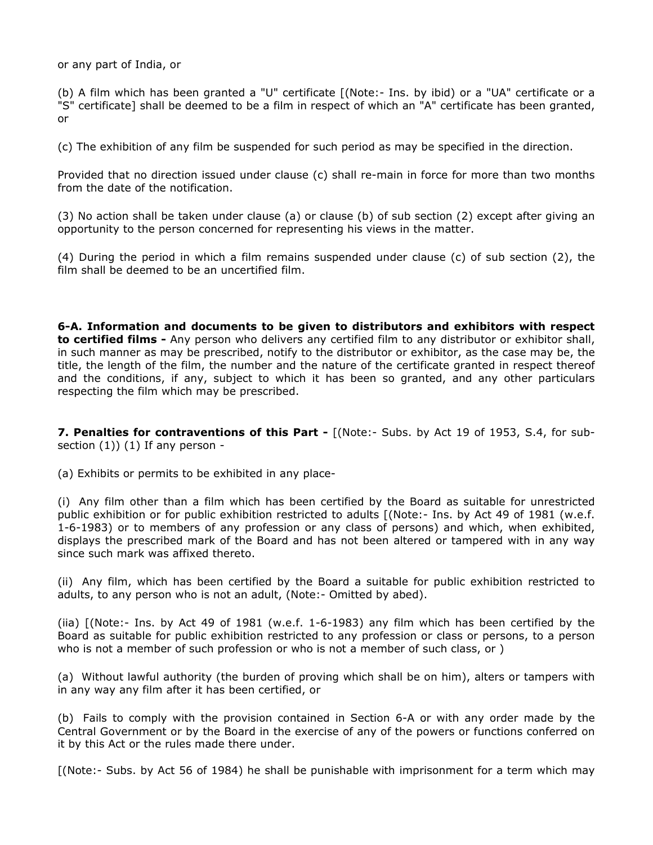or any part of India, or

(b) A film which has been granted a "U" certificate [(Note:- Ins. by ibid) or a "UA" certificate or a "S" certificate] shall be deemed to be a film in respect of which an "A" certificate has been granted, or

(c) The exhibition of any film be suspended for such period as may be specified in the direction.

Provided that no direction issued under clause (c) shall re-main in force for more than two months from the date of the notification.

(3) No action shall be taken under clause (a) or clause (b) of sub section (2) except after giving an opportunity to the person concerned for representing his views in the matter.

(4) During the period in which a film remains suspended under clause (c) of sub section (2), the film shall be deemed to be an uncertified film.

**6-A. Information and documents to be given to distributors and exhibitors with respect to certified films -** Any person who delivers any certified film to any distributor or exhibitor shall, in such manner as may be prescribed, notify to the distributor or exhibitor, as the case may be, the title, the length of the film, the number and the nature of the certificate granted in respect thereof and the conditions, if any, subject to which it has been so granted, and any other particulars respecting the film which may be prescribed.

**7. Penalties for contraventions of this Part -** [(Note:- Subs. by Act 19 of 1953, S.4, for subsection  $(1)$ )  $(1)$  If any person -

(a) Exhibits or permits to be exhibited in any place-

(i) Any film other than a film which has been certified by the Board as suitable for unrestricted public exhibition or for public exhibition restricted to adults [(Note:- Ins. by Act 49 of 1981 (w.e.f. 1-6-1983) or to members of any profession or any class of persons) and which, when exhibited, displays the prescribed mark of the Board and has not been altered or tampered with in any way since such mark was affixed thereto.

(ii) Any film, which has been certified by the Board a suitable for public exhibition restricted to adults, to any person who is not an adult, (Note:- Omitted by abed).

(iia) [(Note:- Ins. by Act 49 of 1981 (w.e.f. 1-6-1983) any film which has been certified by the Board as suitable for public exhibition restricted to any profession or class or persons, to a person who is not a member of such profession or who is not a member of such class, or )

(a) Without lawful authority (the burden of proving which shall be on him), alters or tampers with in any way any film after it has been certified, or

(b) Fails to comply with the provision contained in Section 6-A or with any order made by the Central Government or by the Board in the exercise of any of the powers or functions conferred on it by this Act or the rules made there under.

[(Note:- Subs. by Act 56 of 1984) he shall be punishable with imprisonment for a term which may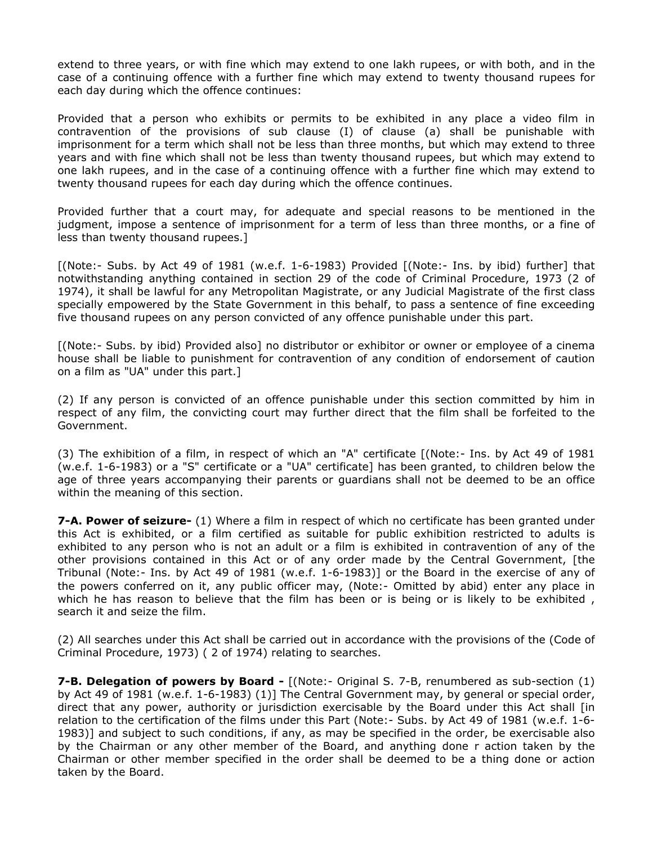extend to three years, or with fine which may extend to one lakh rupees, or with both, and in the case of a continuing offence with a further fine which may extend to twenty thousand rupees for each day during which the offence continues:

Provided that a person who exhibits or permits to be exhibited in any place a video film in contravention of the provisions of sub clause (I) of clause (a) shall be punishable with imprisonment for a term which shall not be less than three months, but which may extend to three years and with fine which shall not be less than twenty thousand rupees, but which may extend to one lakh rupees, and in the case of a continuing offence with a further fine which may extend to twenty thousand rupees for each day during which the offence continues.

Provided further that a court may, for adequate and special reasons to be mentioned in the judgment, impose a sentence of imprisonment for a term of less than three months, or a fine of less than twenty thousand rupees.]

[(Note:- Subs. by Act 49 of 1981 (w.e.f. 1-6-1983) Provided [(Note:- Ins. by ibid) further] that notwithstanding anything contained in section 29 of the code of Criminal Procedure, 1973 (2 of 1974), it shall be lawful for any Metropolitan Magistrate, or any Judicial Magistrate of the first class specially empowered by the State Government in this behalf, to pass a sentence of fine exceeding five thousand rupees on any person convicted of any offence punishable under this part.

[(Note:- Subs. by ibid) Provided also] no distributor or exhibitor or owner or employee of a cinema house shall be liable to punishment for contravention of any condition of endorsement of caution on a film as "UA" under this part.]

(2) If any person is convicted of an offence punishable under this section committed by him in respect of any film, the convicting court may further direct that the film shall be forfeited to the Government.

(3) The exhibition of a film, in respect of which an "A" certificate [(Note:- Ins. by Act 49 of 1981 (w.e.f. 1-6-1983) or a "S" certificate or a "UA" certificate] has been granted, to children below the age of three years accompanying their parents or guardians shall not be deemed to be an office within the meaning of this section.

**7-A. Power of seizure-** (1) Where a film in respect of which no certificate has been granted under this Act is exhibited, or a film certified as suitable for public exhibition restricted to adults is exhibited to any person who is not an adult or a film is exhibited in contravention of any of the other provisions contained in this Act or of any order made by the Central Government, [the Tribunal (Note:- Ins. by Act 49 of 1981 (w.e.f. 1-6-1983)] or the Board in the exercise of any of the powers conferred on it, any public officer may, (Note:- Omitted by abid) enter any place in which he has reason to believe that the film has been or is being or is likely to be exhibited, search it and seize the film.

(2) All searches under this Act shall be carried out in accordance with the provisions of the (Code of Criminal Procedure, 1973) ( 2 of 1974) relating to searches.

**7-B. Delegation of powers by Board -** [(Note:- Original S. 7-B, renumbered as sub-section (1) by Act 49 of 1981 (w.e.f. 1-6-1983) (1)] The Central Government may, by general or special order, direct that any power, authority or jurisdiction exercisable by the Board under this Act shall [in relation to the certification of the films under this Part (Note:- Subs. by Act 49 of 1981 (w.e.f. 1-6- 1983)] and subject to such conditions, if any, as may be specified in the order, be exercisable also by the Chairman or any other member of the Board, and anything done r action taken by the Chairman or other member specified in the order shall be deemed to be a thing done or action taken by the Board.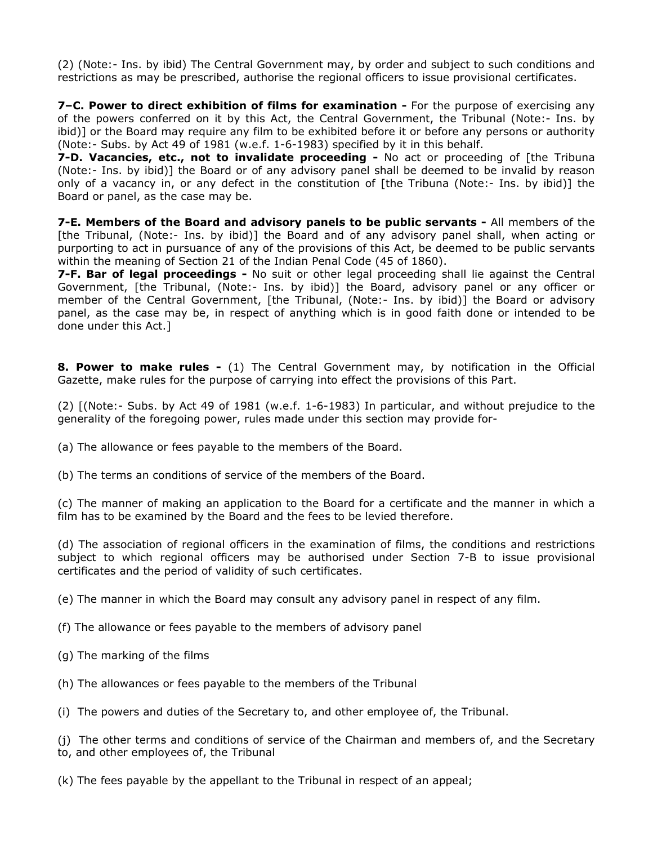(2) (Note:- Ins. by ibid) The Central Government may, by order and subject to such conditions and restrictions as may be prescribed, authorise the regional officers to issue provisional certificates.

**7–C. Power to direct exhibition of films for examination -** For the purpose of exercising any of the powers conferred on it by this Act, the Central Government, the Tribunal (Note:- Ins. by ibid)] or the Board may require any film to be exhibited before it or before any persons or authority (Note:- Subs. by Act 49 of 1981 (w.e.f. 1-6-1983) specified by it in this behalf.

**7-D. Vacancies, etc., not to invalidate proceeding -** No act or proceeding of [the Tribuna (Note:- Ins. by ibid)] the Board or of any advisory panel shall be deemed to be invalid by reason only of a vacancy in, or any defect in the constitution of [the Tribuna (Note:- Ins. by ibid)] the Board or panel, as the case may be.

**7-E. Members of the Board and advisory panels to be public servants -** All members of the [the Tribunal, (Note:- Ins. by ibid)] the Board and of any advisory panel shall, when acting or purporting to act in pursuance of any of the provisions of this Act, be deemed to be public servants within the meaning of Section 21 of the Indian Penal Code (45 of 1860).

**7-F. Bar of legal proceedings -** No suit or other legal proceeding shall lie against the Central Government, [the Tribunal, (Note:- Ins. by ibid)] the Board, advisory panel or any officer or member of the Central Government, [the Tribunal, (Note:- Ins. by ibid)] the Board or advisory panel, as the case may be, in respect of anything which is in good faith done or intended to be done under this Act.]

**8. Power to make rules -** (1) The Central Government may, by notification in the Official Gazette, make rules for the purpose of carrying into effect the provisions of this Part.

(2) [(Note:- Subs. by Act 49 of 1981 (w.e.f. 1-6-1983) In particular, and without prejudice to the generality of the foregoing power, rules made under this section may provide for-

(a) The allowance or fees payable to the members of the Board.

(b) The terms an conditions of service of the members of the Board.

(c) The manner of making an application to the Board for a certificate and the manner in which a film has to be examined by the Board and the fees to be levied therefore.

(d) The association of regional officers in the examination of films, the conditions and restrictions subject to which regional officers may be authorised under Section 7-B to issue provisional certificates and the period of validity of such certificates.

(e) The manner in which the Board may consult any advisory panel in respect of any film.

(f) The allowance or fees payable to the members of advisory panel

- (g) The marking of the films
- (h) The allowances or fees payable to the members of the Tribunal
- (i) The powers and duties of the Secretary to, and other employee of, the Tribunal.

(j) The other terms and conditions of service of the Chairman and members of, and the Secretary to, and other employees of, the Tribunal

(k) The fees payable by the appellant to the Tribunal in respect of an appeal;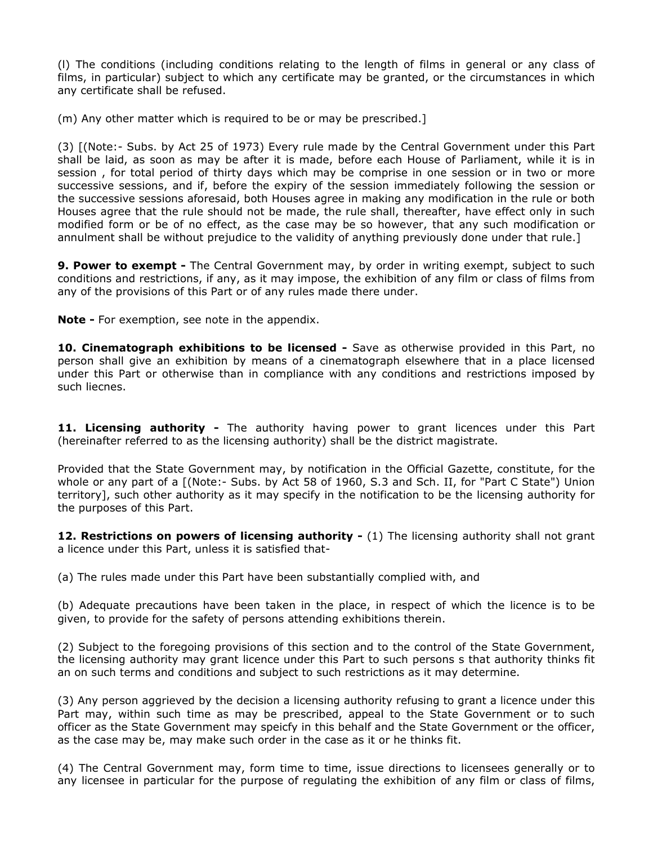(l) The conditions (including conditions relating to the length of films in general or any class of films, in particular) subject to which any certificate may be granted, or the circumstances in which any certificate shall be refused.

(m) Any other matter which is required to be or may be prescribed.]

(3) [(Note:- Subs. by Act 25 of 1973) Every rule made by the Central Government under this Part shall be laid, as soon as may be after it is made, before each House of Parliament, while it is in session , for total period of thirty days which may be comprise in one session or in two or more successive sessions, and if, before the expiry of the session immediately following the session or the successive sessions aforesaid, both Houses agree in making any modification in the rule or both Houses agree that the rule should not be made, the rule shall, thereafter, have effect only in such modified form or be of no effect, as the case may be so however, that any such modification or annulment shall be without prejudice to the validity of anything previously done under that rule.]

**9. Power to exempt -** The Central Government may, by order in writing exempt, subject to such conditions and restrictions, if any, as it may impose, the exhibition of any film or class of films from any of the provisions of this Part or of any rules made there under.

**Note -** For exemption, see note in the appendix.

**10. Cinematograph exhibitions to be licensed -** Save as otherwise provided in this Part, no person shall give an exhibition by means of a cinematograph elsewhere that in a place licensed under this Part or otherwise than in compliance with any conditions and restrictions imposed by such liecnes.

11. Licensing authority - The authority having power to grant licences under this Part (hereinafter referred to as the licensing authority) shall be the district magistrate.

Provided that the State Government may, by notification in the Official Gazette, constitute, for the whole or any part of a [(Note:- Subs. by Act 58 of 1960, S.3 and Sch. II, for "Part C State") Union territory], such other authority as it may specify in the notification to be the licensing authority for the purposes of this Part.

**12. Restrictions on powers of licensing authority -** (1) The licensing authority shall not grant a licence under this Part, unless it is satisfied that-

(a) The rules made under this Part have been substantially complied with, and

(b) Adequate precautions have been taken in the place, in respect of which the licence is to be given, to provide for the safety of persons attending exhibitions therein.

(2) Subject to the foregoing provisions of this section and to the control of the State Government, the licensing authority may grant licence under this Part to such persons s that authority thinks fit an on such terms and conditions and subject to such restrictions as it may determine.

(3) Any person aggrieved by the decision a licensing authority refusing to grant a licence under this Part may, within such time as may be prescribed, appeal to the State Government or to such officer as the State Government may speicfy in this behalf and the State Government or the officer, as the case may be, may make such order in the case as it or he thinks fit.

(4) The Central Government may, form time to time, issue directions to licensees generally or to any licensee in particular for the purpose of regulating the exhibition of any film or class of films,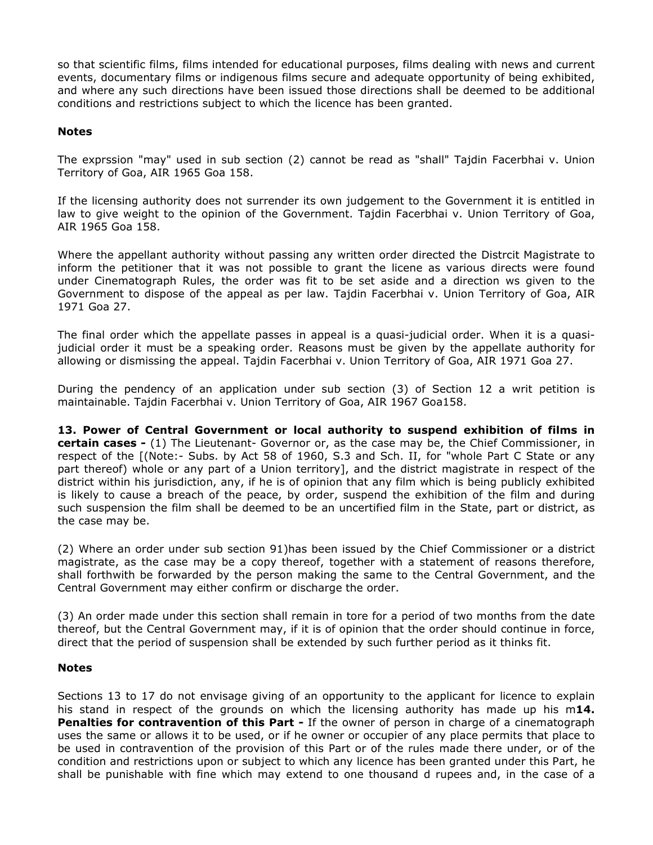so that scientific films, films intended for educational purposes, films dealing with news and current events, documentary films or indigenous films secure and adequate opportunity of being exhibited, and where any such directions have been issued those directions shall be deemed to be additional conditions and restrictions subject to which the licence has been granted.

## **Notes**

The exprssion "may" used in sub section (2) cannot be read as "shall" Tajdin Facerbhai v. Union Territory of Goa, AIR 1965 Goa 158.

If the licensing authority does not surrender its own judgement to the Government it is entitled in law to give weight to the opinion of the Government. Tajdin Facerbhai v. Union Territory of Goa, AIR 1965 Goa 158.

Where the appellant authority without passing any written order directed the Distrcit Magistrate to inform the petitioner that it was not possible to grant the licene as various directs were found under Cinematograph Rules, the order was fit to be set aside and a direction ws given to the Government to dispose of the appeal as per law. Tajdin Facerbhai v. Union Territory of Goa, AIR 1971 Goa 27.

The final order which the appellate passes in appeal is a quasi-judicial order. When it is a quasijudicial order it must be a speaking order. Reasons must be given by the appellate authority for allowing or dismissing the appeal. Tajdin Facerbhai v. Union Territory of Goa, AIR 1971 Goa 27.

During the pendency of an application under sub section (3) of Section 12 a writ petition is maintainable. Tajdin Facerbhai v. Union Territory of Goa, AIR 1967 Goa158.

**13. Power of Central Government or local authority to suspend exhibition of films in certain cases -** (1) The Lieutenant- Governor or, as the case may be, the Chief Commissioner, in respect of the [(Note:- Subs. by Act 58 of 1960, S.3 and Sch. II, for "whole Part C State or any part thereof) whole or any part of a Union territory], and the district magistrate in respect of the district within his jurisdiction, any, if he is of opinion that any film which is being publicly exhibited is likely to cause a breach of the peace, by order, suspend the exhibition of the film and during such suspension the film shall be deemed to be an uncertified film in the State, part or district, as the case may be.

(2) Where an order under sub section 91)has been issued by the Chief Commissioner or a district magistrate, as the case may be a copy thereof, together with a statement of reasons therefore, shall forthwith be forwarded by the person making the same to the Central Government, and the Central Government may either confirm or discharge the order.

(3) An order made under this section shall remain in tore for a period of two months from the date thereof, but the Central Government may, if it is of opinion that the order should continue in force, direct that the period of suspension shall be extended by such further period as it thinks fit.

### **Notes**

Sections 13 to 17 do not envisage giving of an opportunity to the applicant for licence to explain his stand in respect of the grounds on which the licensing authority has made up his m**14. Penalties for contravention of this Part - If the owner of person in charge of a cinematograph** uses the same or allows it to be used, or if he owner or occupier of any place permits that place to be used in contravention of the provision of this Part or of the rules made there under, or of the condition and restrictions upon or subject to which any licence has been granted under this Part, he shall be punishable with fine which may extend to one thousand d rupees and, in the case of a